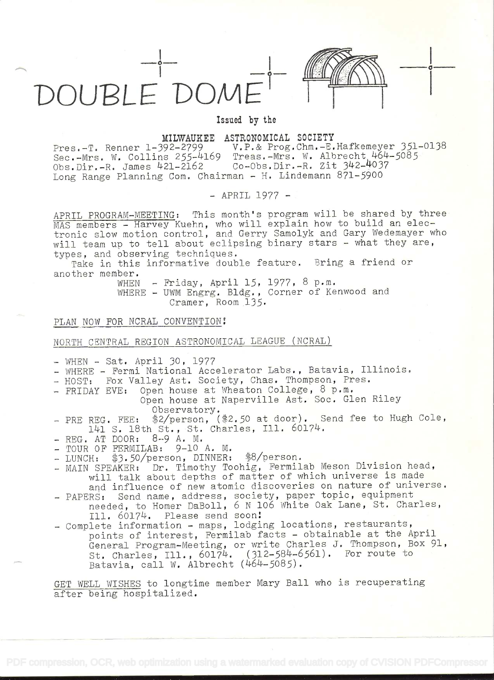

# Issued by the

MILWAUKEE ASTRONOMICAL SOCIETY<br>Pres.-T. Renner 1-392-2799 V.P.& Prog.Chm.-E. V.P.& Prog.Chm.-E.Hafkemeyer 351-0138 Sec.-Mrs. W. Collins 255-4169 Treas.-Mrs. W. Albrecht 464-5085<br>Obs.Dir.-R. James 421-2162 Co-Obs.Dir.-R. Zit 342-4037  $Obs.Dir.-R. James 421-2162$ Long Range Planning Com. Chairman - H. Lindemann 871-5900

- APRIL 1977 -

APRIL PROGRAM-MEETING: This month's program will be shared by three MAS members - Harvey Kuehn, who will explain how to build an electronic slow motion control, and Gerry Samolyk and Gary Wedemayer who will team up to tell about eclipsing binary stars - what they are, types, and observing techniques.

Take in this informative double feature. Bring a friend or another member.<br>WHEN

- Friday, April 15, 1977, 8 p.m.

WHERE - UWM Engrg. Bldg. , Corner of Kenwood and Cramer, Room 135.

## PLAN NOW FOR NCRAL CONVENTION!

NORTH CENTRAL REGION ASTRONOMICAL LEAGUE (NCRAL

- WHEN - Sat. April 30, 1977

- WHERE Fermi National Accelerator Labs., Batavia, Illinois.
- HOST: Fox Valley Ast. Society, Chas. Thompson, Pres.
- FRIDAY EVE: Open house at Wheaton College, 8 p.m. Open house at Naperville Ast. Soc. Glen Riley

Observatory.

 $-$  PRE REG. FEE:  $$2/person,$  ( $$2.50$  at door). Send fee to Hugh Cole, 141 S. 18th St. , St. Charles, Ill. 60174.

- $-$  REG. AT DOOR:  $8-9$  A. M.
- TOUR OF FERMILAB: 9-10 A.M.<br>- LUNCH: \$3.50/person, DINNER:
- $$3.50/person, DINNER: $8/person.$
- MAIN SPEAKER: Dr. Timothy Toohig, Fermilab Meson Division head, will talk about depths of matter of which universe is made and influence of new atomic discoveries on nature of universe.
- PAPERS: Send name, address, society, paper topic, equipment needed, to Homer DaBoll, 6 N 106 White Oak Lane, St. Charles, Ill. 60174. Please send soon
- Complete information maps, lodging locations, restaurants, points of interest, Fermilab facts - obtainable at the April General Program-Meeting, or write Charles J. Thompson, Box 91, St. Charles, Ill., 60174. (312-584-6561). For route to Batavia, call W. Albrecht (464-5085).

GET WELL WISHES to longtime member Mary Ball who is recuperating after being hospitalized.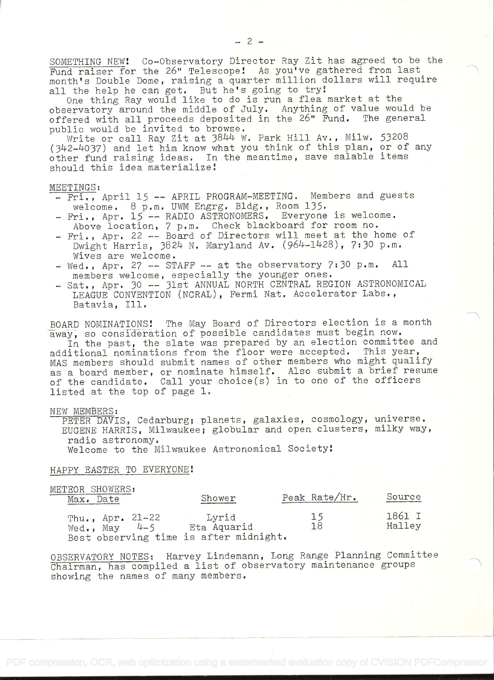SOMETHING NEW! Co-Observatory Director Ray Zit has agreed to be the Fund raiser for the 26" Telescope! As you've gathered from last month's Double Dome, raising a quarter million dollars will require all the help he can get. But he's going to try!

One thing Ray would like to do is run a flea market at the observatory around the middle of July. Anything of value would be offered with all proceeds deposited in the 26" Fund. The general public would be invited to browse.

Write or call Ray Zit at 3844 W. Park Hill Av., Milw. 53208 (342-4037) and let him know what you think of this plan, or of any other fund raising ideas. In the meantime, save salable items should this idea materialize!

- MEETINGS:<br>- Fri., April 15 -- APRIL PROGRAM-MEETING. Members and guests welcome. 8 p.m. UWM Engrg. Bldg., Room 135.
	- Fri., Apr. 15 -- RADIO ASTRONOMERS. Everyone is welcome. Above location, 7 p.m. Check blackboard for room no.
	- Fri., Apr. 22 -- Board of Directors will meet at the home of Dwight Harris, 3824 N. Maryland Av. (964-1428), 7:30 p.m. Wives are welcome.
	- $-$  Wed., Apr. 27 -- STAFF -- at the observatory 7:30 p.m. All members welcome, especially the younger ones.
	- Sat., Apr. 30 -- 31st ANNUAL NORTH CENTRAL REGION ASTRONOMICAL LEAGUE CONVENTION (NCRAL), Fermi Nat. Accelerator Labs., Batavia, Ill.

BOARD NOMINATIONS! The May Board of Directors election is a month away, so consideration of possible candidates must begin now.

In the past, the slate was prepared by an election committee and additional nominations from the floor were accepted. This year, MAS members should submit names of other members who might qualify as a board member, or nominate himself. Also submit a brief resume of the candidate. Call your choice(s) in to one of the officers listed at the top of page 1.

### NEW MEMBERS:

PETER DAVIS, Cedarburg; planets, galaxies, cosmology, universe. EUGENE HARRIS, Milwaukee; globular and open clusters, milky way, radio astronomy.

Welcome to the Milwaukee Astronomical Society!

## HAPPY EASTER TO EvERYONE!

## METEOR SHOWERS:

| Max. Date                                                                          | Shower               | Peak Rate/Hr. | Source           |  |
|------------------------------------------------------------------------------------|----------------------|---------------|------------------|--|
| Thu., Apr. 21-22<br>$4 - 5$<br>Wed., May<br>Best observing time is after midnight. | Lvrid<br>Eta Aquarid | 15<br>18      | 1861 I<br>Halley |  |

OBSERVATORY NOTES: Harvey Lindemann, Long Range Planning Committee Chairman, has compiled a list of observatory maintenance groups showing the names of many members.